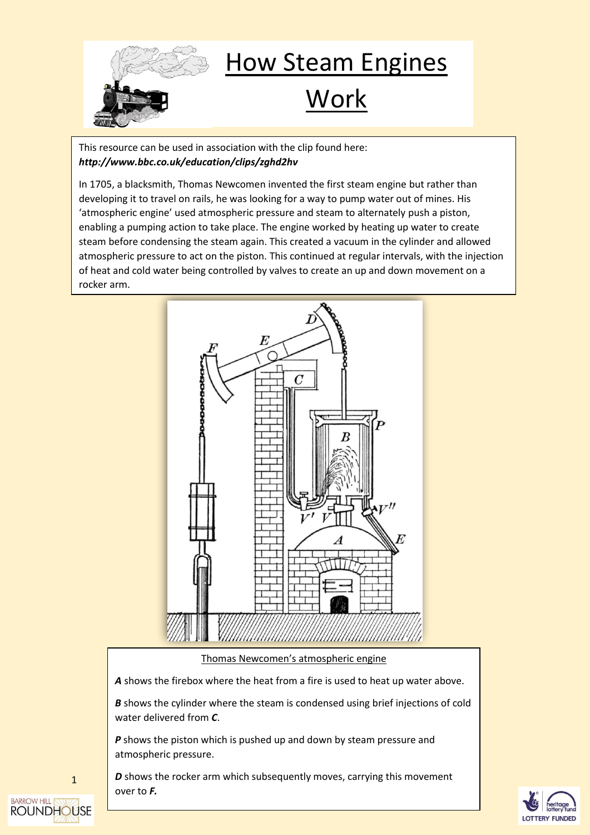

## How Steam Engines

## Work

This resource can be used in association with the clip found here: *http://www.bbc.co.uk/education/clips/zghd2hv*

In 1705, a blacksmith, Thomas Newcomen invented the first steam engine but rather than developing it to travel on rails, he was looking for a way to pump water out of mines. His 'atmospheric engine' used atmospheric pressure and steam to alternately push a piston, enabling a pumping action to take place. The engine worked by heating up water to create steam before condensing the steam again. This created a vacuum in the cylinder and allowed atmospheric pressure to act on the piston. This continued at regular intervals, with the injection of heat and cold water being controlled by valves to create an up and down movement on a rocker arm.



## Thomas Newcomen's atmospheric engine

*A* shows the firebox where the heat from a fire is used to heat up water above.

**B** shows the cylinder where the steam is condensed using brief injections of cold water delivered from *C*.

**P** shows the piston which is pushed up and down by steam pressure and atmospheric pressure.

*D* shows the rocker arm which subsequently moves, carrying this movement over to *F.*



**BARROW HILL ROUNDHOUSE** 

1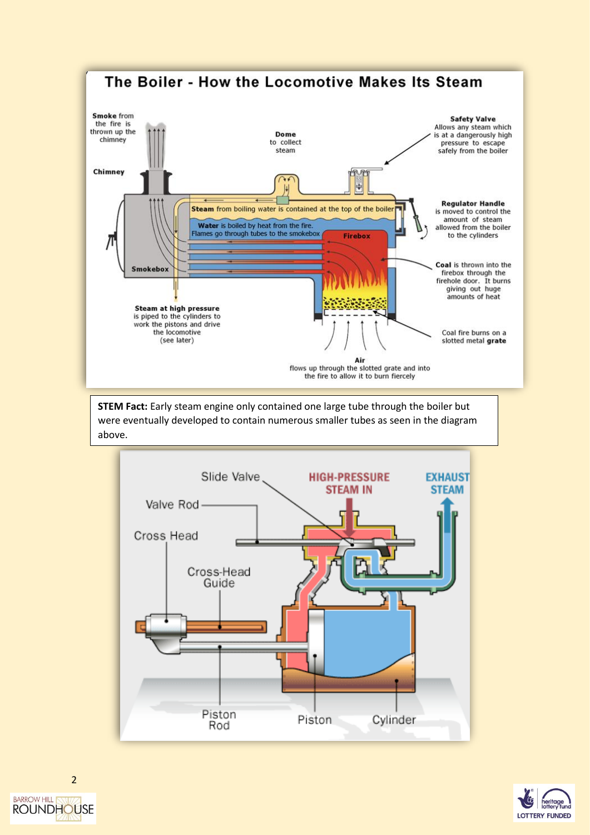

**STEM Fact:** Early steam engine only contained one large tube through the boiler but were eventually developed to contain numerous smaller tubes as seen in the diagram above.